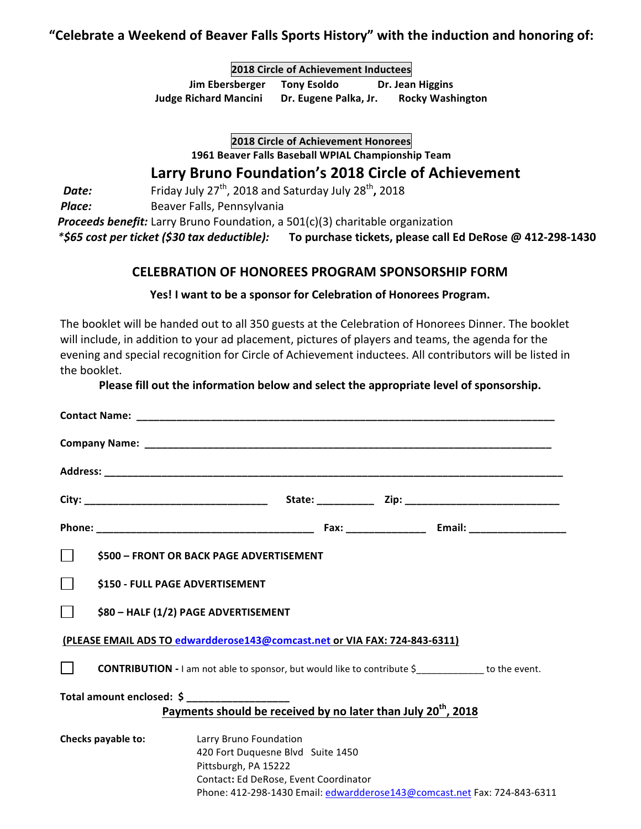## "Celebrate a Weekend of Beaver Falls Sports History" with the induction and honoring of:

**2018 Circle of Achievement Inductees Jim Ebersberger** Tony Esoldo Dr. Jean Higgins **Judge Richard Mancini** Dr. Eugene Palka, Jr. Rocky Washington

**2018 Circle of Achievement Honorees**

**1961 Beaver Falls Baseball WPIAL Championship Team**

# **Larry Bruno Foundation's 2018 Circle of Achievement**

**Date:** Friday July 27<sup>th</sup>, 2018 and Saturday July 28<sup>th</sup>, 2018

**Place:** Beaver Falls, Pennsylvania

**Proceeds benefit:** Larry Bruno Foundation, a 501(c)(3) charitable organization

 *\*\$65 cost per ticket (\$30 tax deductible):* **To purchase tickets, please call Ed DeRose @ 412-298-1430**

## **CELEBRATION OF HONOREES PROGRAM SPONSORSHIP FORM**

#### Yes! I want to be a sponsor for Celebration of Honorees Program.

The booklet will be handed out to all 350 guests at the Celebration of Honorees Dinner. The booklet will include, in addition to your ad placement, pictures of players and teams, the agenda for the evening and special recognition for Circle of Achievement inductees. All contributors will be listed in the booklet.

#### Please fill out the information below and select the appropriate level of sponsorship.

|                                                                                                        | \$500 - FRONT OR BACK PAGE ADVERTISEMENT                                                                                                                                                                 |
|--------------------------------------------------------------------------------------------------------|----------------------------------------------------------------------------------------------------------------------------------------------------------------------------------------------------------|
|                                                                                                        | \$150 - FULL PAGE ADVERTISEMENT                                                                                                                                                                          |
|                                                                                                        | \$80 - HALF (1/2) PAGE ADVERTISEMENT                                                                                                                                                                     |
| (PLEASE EMAIL ADS TO edwardderose143@comcast.net or VIA FAX: 724-843-6311)                             |                                                                                                                                                                                                          |
|                                                                                                        | <b>CONTRIBUTION</b> - I am not able to sponsor, but would like to contribute \$ ____________ to the event.                                                                                               |
| Total amount enclosed: \$<br>Payments should be received by no later than July 20 <sup>th</sup> , 2018 |                                                                                                                                                                                                          |
| Checks payable to:                                                                                     | Larry Bruno Foundation<br>420 Fort Duquesne Blvd Suite 1450<br>Pittsburgh, PA 15222<br>Contact: Ed DeRose, Event Coordinator<br>Phone: 412-298-1430 Email: edwardderose143@comcast.net Fax: 724-843-6311 |